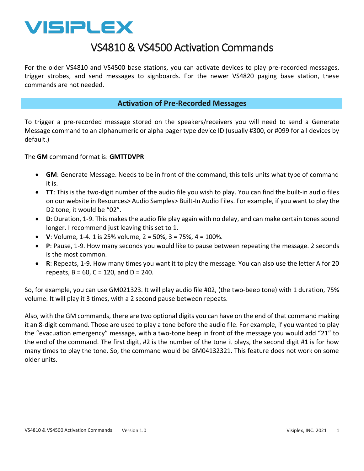

# VS4810 & VS4500 Activation Commands

For the older VS4810 and VS4500 base stations, you can activate devices to play pre-recorded messages, trigger strobes, and send messages to signboards. For the newer VS4820 paging base station, these commands are not needed.

#### **Activation of Pre-Recorded Messages**

To trigger a pre-recorded message stored on the speakers/receivers you will need to send a Generate Message command to an alphanumeric or alpha pager type device ID (usually #300, or #099 for all devices by default.)

The **GM** command format is: **GMTTDVPR**

- **GM**: Generate Message. Needs to be in front of the command, this tells units what type of command it is.
- **TT**: This is the two-digit number of the audio file you wish to play. You can find the built-in audio files on our website in Resources> Audio Samples> Built-In Audio Files. For example, if you want to play the D2 tone, it would be "02".
- **D**: Duration, 1-9. This makes the audio file play again with no delay, and can make certain tones sound longer. I recommend just leaving this set to 1.
- **V**: Volume, 1-4. 1 is 25% volume, 2 = 50%, 3 = 75%, 4 = 100%.
- **P**: Pause, 1-9. How many seconds you would like to pause between repeating the message. 2 seconds is the most common.
- **R**: Repeats, 1-9. How many times you want it to play the message. You can also use the letter A for 20 repeats,  $B = 60$ ,  $C = 120$ , and  $D = 240$ .

So, for example, you can use GM021323. It will play audio file #02, (the two-beep tone) with 1 duration, 75% volume. It will play it 3 times, with a 2 second pause between repeats.

Also, with the GM commands, there are two optional digits you can have on the end of that command making it an 8-digit command. Those are used to play a tone before the audio file. For example, if you wanted to play the "evacuation emergency" message, with a two-tone beep in front of the message you would add "21" to the end of the command. The first digit, #2 is the number of the tone it plays, the second digit #1 is for how many times to play the tone. So, the command would be GM04132321. This feature does not work on some older units.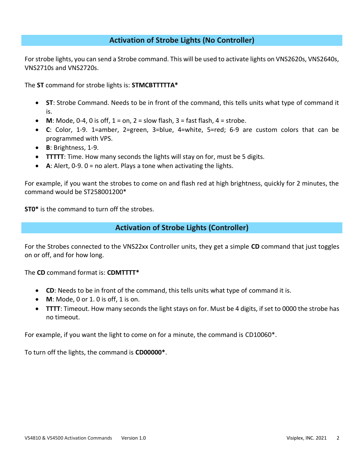### **Activation of Strobe Lights (No Controller)**

For strobe lights, you can send a Strobe command. This will be used to activate lights on VNS2620s, VNS2640s, VNS2710s and VNS2720s.

The **ST** command for strobe lights is: **STMCBTTTTTA\***

- **ST**: Strobe Command. Needs to be in front of the command, this tells units what type of command it is.
- **M**: Mode, 0-4, 0 is off,  $1 = on$ ,  $2 = slow$  flash,  $3 = fast$  flash,  $4 = stroke$ .
- **C**: Color, 1-9. 1=amber, 2=green, 3=blue, 4=white, 5=red; 6-9 are custom colors that can be programmed with VPS.
- **B**: Brightness, 1-9.
- **TTTTT**: Time. How many seconds the lights will stay on for, must be 5 digits.
- **A**: Alert, 0-9. 0 = no alert. Plays a tone when activating the lights.

For example, if you want the strobes to come on and flash red at high brightness, quickly for 2 minutes, the command would be ST258001200\*

**ST0\*** is the command to turn off the strobes.

### **Activation of Strobe Lights (Controller)**

For the Strobes connected to the VNS22xx Controller units, they get a simple **CD** command that just toggles on or off, and for how long.

The **CD** command format is: **CDMTTTT\***

- **CD**: Needs to be in front of the command, this tells units what type of command it is.
- **M**: Mode, 0 or 1. 0 is off, 1 is on.
- **TTTT**: Timeout. How many seconds the light stays on for. Must be 4 digits, if set to 0000 the strobe has no timeout.

For example, if you want the light to come on for a minute, the command is CD10060\*.

To turn off the lights, the command is **CD00000\***.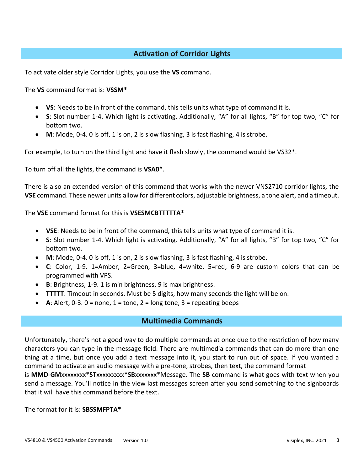# **Activation of Corridor Lights**

To activate older style Corridor Lights, you use the **VS** command.

The **VS** command format is: **VSSM\***

- **VS**: Needs to be in front of the command, this tells units what type of command it is.
- **S**: Slot number 1-4. Which light is activating. Additionally, "A" for all lights, "B" for top two, "C" for bottom two.
- **M**: Mode, 0-4. 0 is off, 1 is on, 2 is slow flashing, 3 is fast flashing, 4 is strobe.

For example, to turn on the third light and have it flash slowly, the command would be VS32\*.

To turn off all the lights, the command is **VSA0\***.

There is also an extended version of this command that works with the newer VNS2710 corridor lights, the **VSE** command. These newer units allow for different colors, adjustable brightness, a tone alert, and a timeout.

The **VSE** command format for this is **VSESMCBTTTTTA\***

- **VSE**: Needs to be in front of the command, this tells units what type of command it is.
- **S**: Slot number 1-4. Which light is activating. Additionally, "A" for all lights, "B" for top two, "C" for bottom two.
- **M**: Mode, 0-4. 0 is off, 1 is on, 2 is slow flashing, 3 is fast flashing, 4 is strobe.
- **C**: Color, 1-9. 1=Amber, 2=Green, 3=blue, 4=white, 5=red; 6-9 are custom colors that can be programmed with VPS.
- **B**: Brightness, 1-9. 1 is min brightness, 9 is max brightness.
- **TTTTT**: Timeout in seconds. Must be 5 digits, how many seconds the light will be on.
- A: Alert,  $0-3$ .  $0 =$  none,  $1 =$  tone,  $2 =$  long tone,  $3 =$  repeating beeps

#### **Multimedia Commands**

Unfortunately, there's not a good way to do multiple commands at once due to the restriction of how many characters you can type in the message field. There are multimedia commands that can do more than one thing at a time, but once you add a text message into it, you start to run out of space. If you wanted a command to activate an audio message with a pre-tone, strobes, then text, the command format is **MMD**-**GM**xxxxxxxx\***ST**xxxxxxxxx\***SB**xxxxxxx\*Message. The **SB** command is what goes with text when you send a message. You'll notice in the view last messages screen after you send something to the signboards that it will have this command before the text.

The format for it is: **SBSSMFPTA\***